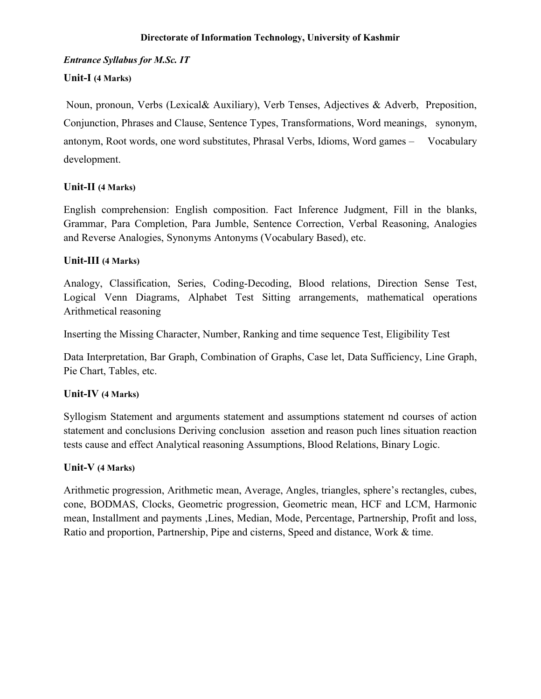# *Entrance Syllabus for M.Sc. IT*

# **Unit-I (4 Marks)**

Noun, pronoun, Verbs (Lexical& Auxiliary), Verb Tenses, Adjectives & Adverb, Preposition, Conjunction, Phrases and Clause, Sentence Types, Transformations, Word meanings, synonym, antonym, Root words, one word substitutes, Phrasal Verbs, Idioms, Word games – Vocabulary development.

# **Unit-II (4 Marks)**

English comprehension: English composition. Fact Inference Judgment, Fill in the blanks, Grammar, Para Completion, Para Jumble, Sentence Correction, Verbal Reasoning, Analogies and Reverse Analogies, Synonyms Antonyms (Vocabulary Based), etc.

# **Unit-III (4 Marks)**

Analogy, Classification, Series, Coding-Decoding, Blood relations, Direction Sense Test, Logical Venn Diagrams, Alphabet Test Sitting arrangements, mathematical operations Arithmetical reasoning

Inserting the Missing Character, Number, Ranking and time sequence Test, Eligibility Test

Data Interpretation, Bar Graph, Combination of Graphs, Case let, Data Sufficiency, Line Graph, Pie Chart, Tables, etc.

# **Unit-IV (4 Marks)**

Syllogism Statement and arguments statement and assumptions statement nd courses of action statement and conclusions Deriving conclusion assetion and reason puch lines situation reaction tests cause and effect Analytical reasoning Assumptions, Blood Relations, Binary Logic.

## **Unit-V (4 Marks)**

Arithmetic progression, Arithmetic mean, Average, Angles, triangles, sphere's rectangles, cubes, cone, BODMAS, Clocks, Geometric progression, Geometric mean, HCF and LCM, Harmonic mean, Installment and payments ,Lines, Median, Mode, Percentage, Partnership, Profit and loss, Ratio and proportion, Partnership, Pipe and cisterns, Speed and distance, Work & time.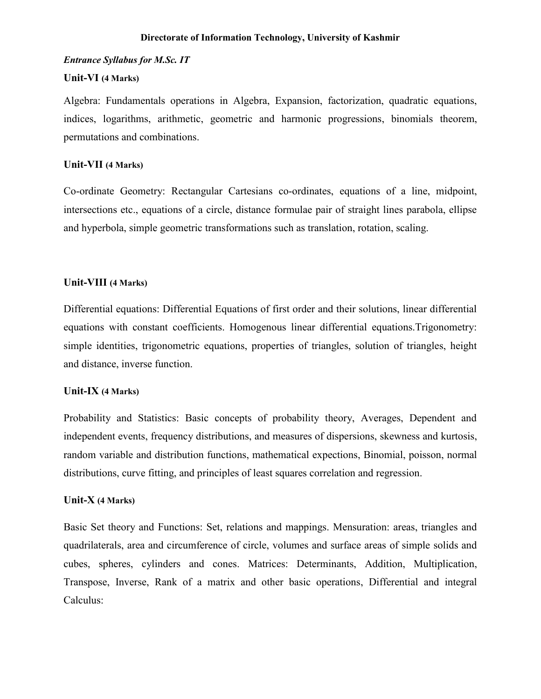### *Entrance Syllabus for M.Sc. IT*

### **Unit-VI (4 Marks)**

Algebra: Fundamentals operations in Algebra, Expansion, factorization, quadratic equations, indices, logarithms, arithmetic, geometric and harmonic progressions, binomials theorem, permutations and combinations.

### **Unit-VII (4 Marks)**

Co-ordinate Geometry: Rectangular Cartesians co-ordinates, equations of a line, midpoint, intersections etc., equations of a circle, distance formulae pair of straight lines parabola, ellipse and hyperbola, simple geometric transformations such as translation, rotation, scaling.

### **Unit-VIII (4 Marks)**

Differential equations: Differential Equations of first order and their solutions, linear differential equations with constant coefficients. Homogenous linear differential equations.Trigonometry: simple identities, trigonometric equations, properties of triangles, solution of triangles, height and distance, inverse function.

#### **Unit-IX (4 Marks)**

Probability and Statistics: Basic concepts of probability theory, Averages, Dependent and independent events, frequency distributions, and measures of dispersions, skewness and kurtosis, random variable and distribution functions, mathematical expections, Binomial, poisson, normal distributions, curve fitting, and principles of least squares correlation and regression.

#### **Unit-X (4 Marks)**

Basic Set theory and Functions: Set, relations and mappings. Mensuration: areas, triangles and quadrilaterals, area and circumference of circle, volumes and surface areas of simple solids and cubes, spheres, cylinders and cones. Matrices: Determinants, Addition, Multiplication, Transpose, Inverse, Rank of a matrix and other basic operations, Differential and integral Calculus: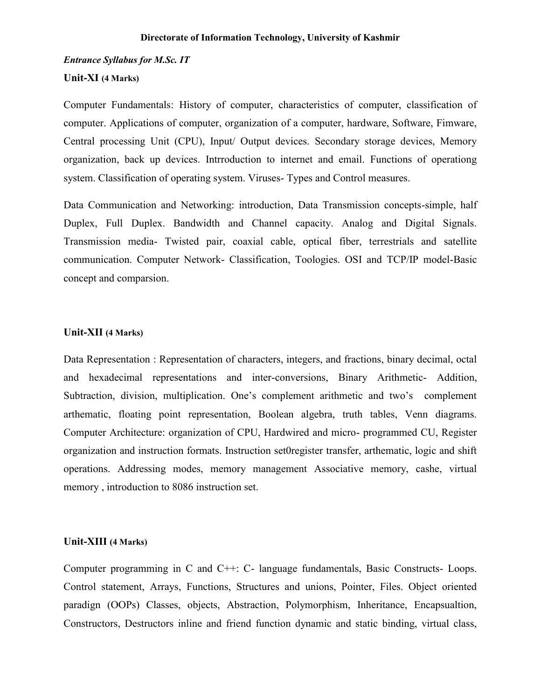### *Entrance Syllabus for M.Sc. IT*

## **Unit-XI (4 Marks)**

Computer Fundamentals: History of computer, characteristics of computer, classification of computer. Applications of computer, organization of a computer, hardware, Software, Fimware, Central processing Unit (CPU), Input/ Output devices. Secondary storage devices, Memory organization, back up devices. Intrroduction to internet and email. Functions of operationg system. Classification of operating system. Viruses- Types and Control measures.

Data Communication and Networking: introduction, Data Transmission concepts-simple, half Duplex, Full Duplex. Bandwidth and Channel capacity. Analog and Digital Signals. Transmission media- Twisted pair, coaxial cable, optical fiber, terrestrials and satellite communication. Computer Network- Classification, Toologies. OSI and TCP/IP model-Basic concept and comparsion.

#### **Unit-XII (4 Marks)**

Data Representation : Representation of characters, integers, and fractions, binary decimal, octal and hexadecimal representations and inter-conversions, Binary Arithmetic- Addition, Subtraction, division, multiplication. One's complement arithmetic and two's complement arthematic, floating point representation, Boolean algebra, truth tables, Venn diagrams. Computer Architecture: organization of CPU, Hardwired and micro- programmed CU, Register organization and instruction formats. Instruction set0register transfer, arthematic, logic and shift operations. Addressing modes, memory management Associative memory, cashe, virtual memory , introduction to 8086 instruction set.

#### **Unit-XIII (4 Marks)**

Computer programming in C and C++: C- language fundamentals, Basic Constructs- Loops. Control statement, Arrays, Functions, Structures and unions, Pointer, Files. Object oriented paradign (OOPs) Classes, objects, Abstraction, Polymorphism, Inheritance, Encapsualtion, Constructors, Destructors inline and friend function dynamic and static binding, virtual class,